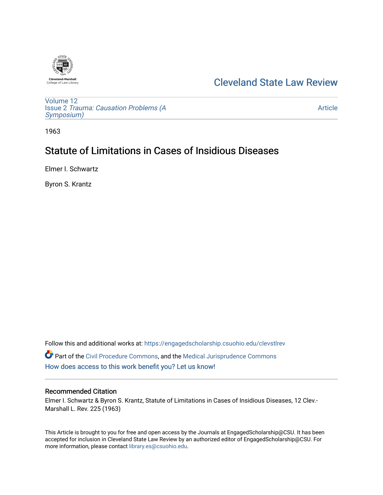

# [Cleveland State Law Review](https://engagedscholarship.csuohio.edu/clevstlrev)

[Volume 12](https://engagedscholarship.csuohio.edu/clevstlrev/vol12) Issue 2 [Trauma: Causation Problems \(A](https://engagedscholarship.csuohio.edu/clevstlrev/vol12/iss2) [Symposium\)](https://engagedscholarship.csuohio.edu/clevstlrev/vol12/iss2) 

[Article](https://engagedscholarship.csuohio.edu/clevstlrev/vol12/iss2/5) 

1963

# Statute of Limitations in Cases of Insidious Diseases

Elmer I. Schwartz

Byron S. Krantz

Follow this and additional works at: [https://engagedscholarship.csuohio.edu/clevstlrev](https://engagedscholarship.csuohio.edu/clevstlrev?utm_source=engagedscholarship.csuohio.edu%2Fclevstlrev%2Fvol12%2Fiss2%2F5&utm_medium=PDF&utm_campaign=PDFCoverPages) Part of the [Civil Procedure Commons,](http://network.bepress.com/hgg/discipline/584?utm_source=engagedscholarship.csuohio.edu%2Fclevstlrev%2Fvol12%2Fiss2%2F5&utm_medium=PDF&utm_campaign=PDFCoverPages) and the [Medical Jurisprudence Commons](http://network.bepress.com/hgg/discipline/860?utm_source=engagedscholarship.csuohio.edu%2Fclevstlrev%2Fvol12%2Fiss2%2F5&utm_medium=PDF&utm_campaign=PDFCoverPages) [How does access to this work benefit you? Let us know!](http://library.csuohio.edu/engaged/)

### Recommended Citation

Elmer I. Schwartz & Byron S. Krantz, Statute of Limitations in Cases of Insidious Diseases, 12 Clev.- Marshall L. Rev. 225 (1963)

This Article is brought to you for free and open access by the Journals at EngagedScholarship@CSU. It has been accepted for inclusion in Cleveland State Law Review by an authorized editor of EngagedScholarship@CSU. For more information, please contact [library.es@csuohio.edu](mailto:library.es@csuohio.edu).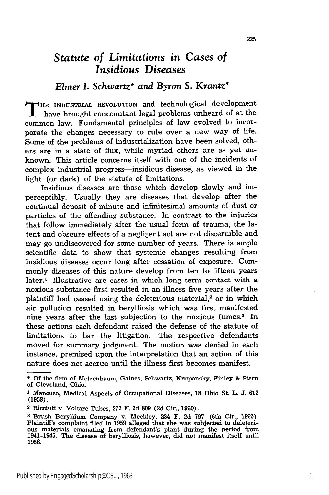## *Statute of Limitations in Cases of Insidious Diseases*

### *Elmer I.* Schwartz\* *and Byron S.* Krantz\*

**T HE INDUSTRIAL REVOLUTION** and technological development have brought concomitant legal problems unheard of at the common law. Fundamental principles of law evolved to incorporate the changes necessary to rule over a new way of life. Some of the problems of industrialization have been solved, others are in a state of flux, while myriad others are as yet unknown. This article concerns itself with one of the incidents of complex industrial progress-insidious disease, as viewed in the light (or dark) of the statute of limitations.

Insidious diseases are those which develop slowly and imperceptibly. Usually they are diseases that develop after the continual deposit of minute and infinitesimal amounts of dust or particles of the offending substance. In contrast to the injuries that follow immediately after the usual form of trauma, the latent and obscure effects of a negligent act are not discernible and may go undiscovered for some number of years. There is ample scientific data to show that systemic changes resulting from insidious diseases occur long after cessation of exposure. Commonly diseases of this nature develop from ten to fifteen years later.' Illustrative are cases in which long term contact with a noxious substance first resulted in an illness five years after the plaintiff had ceased using the deleterious material,<sup>2</sup> or in which air pollution resulted in berylliosis which was first manifested nine years after the last subjection to the noxious fumes.<sup>3</sup> In these actions each defendant raised the defense of the statute of limitations to bar the litigation. The respective defendants moved for summary judgment. The motion was denied in each instance, premised upon the interpretation that an action of this nature does not accrue until the illness first becomes manifest.

**<sup>\*</sup>** Of the firm of Metzenbaum, Gaines, Schwartz, Krupansky, Finley & **Stern** of Cleveland, Ohio.

<sup>1</sup> Mancuso, Medical Aspects of Occupational Diseases, **18** Ohio St. L. **J. 612 (1958).**

<sup>2</sup> Ricciuti v. Voltarc Tubes, **277** F. **2d 809 (2d** Cir., **1960).**

**<sup>3</sup>** Brush Beryllium Company v. Meckley, 284 F. **2d 797** (6th Cir., **1960).** Plaintiff's complaint filed in **1959** alleged that she was subjected to deleteri- ous materials emanating from defendant's plant during the period from 1941-1945. The disease of berylliosis, however, did not manifest itself until **1958.**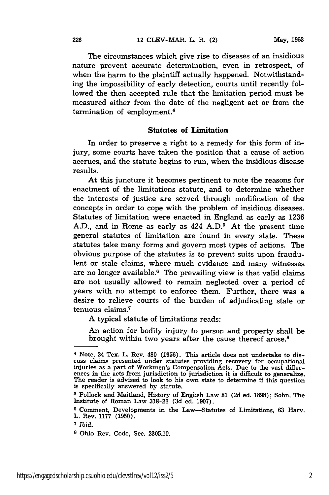The circumstances which give rise to diseases of an insidious nature prevent accurate determination, even in retrospect, of when the harm to the plaintiff actually happened. Notwithstanding the impossibility of early detection, courts until recently followed the then accepted rule that the limitation period must be measured either from the date of the negligent act or from the termination of employment.<sup>4</sup>

#### Statutes **of Limitation**

In order to preserve a right to a remedy for this form of injury, some courts have taken the position that a cause of action accrues, and the statute begins to run, when the insidious disease results.

At this juncture it becomes pertinent to note the reasons for enactment of the limitations statute, and to determine whether the interests of justice are served through modification of the concepts in order to cope with the problem of insidious diseases. Statutes of limitation were enacted in England as early as 1236 A.D., and in Rome as early as  $424$  A.D.<sup>5</sup> At the present time general statutes of limitation are found in every state. These statutes take many forms and govern most types of actions. The obvious purpose of the statutes is to prevent suits upon fraudulent or stale claims, where much evidence and many witnesses are no longer available.<sup>6</sup> The prevailing view is that valid claims are not usually allowed to remain neglected over a period of years with no attempt to enforce them. Further, there was a desire to relieve courts of the burden of adjudicating stale or tenuous claims.7

A typical statute of limitations reads:

An action for bodily injury to person and property shall be brought within two years after the cause thereof arose.8

<sup>&</sup>lt;sup>4</sup> Note, 34 Tex. L. Rev. 480 (1956). This article does not undertake to discuss claims presented under statutes providing recovery for occupational injuries as a part of Workmen's Compensation Acts. Due to the vast diffe

**<sup>5</sup>** Pollock and Maitland, History of English Law **81** (2d ed. 1898); Sohn, The Institute of Roman Law 318-22 (3d ed. 1907).

**<sup>6</sup>**Comment, Developments in the Law-Statutes of Limitations, **63** Harv. L. Rev. **1177 (1950).**

**<sup>7</sup>***Ibid.*

**<sup>8</sup>**Ohio Rev. Code, Sec. **2305.10.**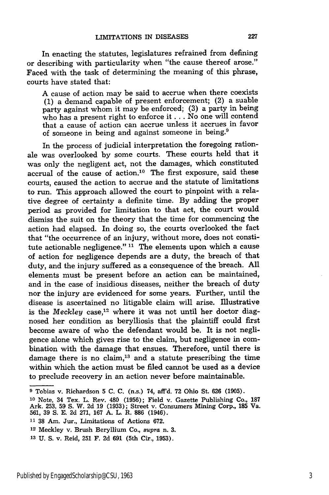In enacting the statutes, legislatures refrained from defining or describing with particularity when "the cause thereof arose." Faced with the task of determining the meaning of this phrase, courts have stated that:

A cause of action may be said to accrue when there coexists (1) a demand capable of present enforcement; (2) a suable party against whom it may be enforced; (3) a party in being who has a present right to enforce it **...** No one will contend that a cause of action can accrue unless it accrues in favor of someone in being and against someone in being.<sup>9</sup>

In the process of judicial interpretation the foregoing rationale was overlooked by some courts. These courts held that it was only the negligent act, not the damages, which constituted accrual of the cause of action.<sup>10</sup> The first exposure, said these courts, caused the action to accrue and the statute of limitations to run. This approach allowed the court to pinpoint with a relative degree of certainty a definite time. By adding the proper period as provided for limitation to that act, the court would dismiss the suit on the theory that the time for commencing the action had elapsed. In doing so, the courts overlooked the fact that "the occurrence of an injury, without more, does not constitute actionable negligence." **11** The elements upon which a cause of action for negligence depends are a duty, the breach of that duty, and the injury suffered as a consequence of the breach. All elements must be present before an action can be maintained, and in the case of insidious diseases, neither the breach of duty nor the injury are evidenced for some years. Further, until the disease is ascertained no litigable claim will arise. Illustrative is the *Meckley* case,<sup>12</sup> where it was not until her doctor diagnosed her condition as berylliosis that the plaintiff could first become aware of who the defendant would be. It is not negligence alone which gives rise to the claim, but negligence in combination with the damage that ensues. Therefore, until there is damage there is no claim, $13$  and a statute prescribing the time within which the action must be filed cannot be used as a device to preclude recovery in an action never before maintainable.

**<sup>9</sup>** Tobias v. Richardson 5 C. C. (n.s.) 74, aff'd. 72 Ohio St. **626** (1905).

**<sup>10</sup>**Note, 34 Tex. L. Rev. 480 (1956); Field v. Gazette Publishing Co., 187 Ark. 253, 59 **S.** W. 2d 19 (1933); Street v. Consumers Mining Corp., **185** Va. 561, 39 **S.** E. 2d 271, 167 A. L. R. **886** (1946).

**<sup>11</sup>**38 Am. Jur., Limitations of Actions 672.

**<sup>12</sup>**Meckley v. Brush Beryllium Co., *supra* n. 3.

**<sup>13</sup>**U. S. v. Reid, 251 F. 2d **691** (5th Cir., 1953).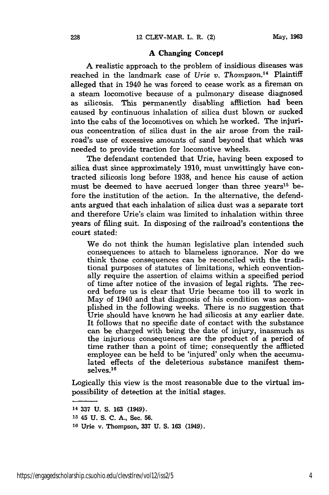#### **A Changing Concept**

**A** realistic approach to the problem of insidious diseases was reached in the landmark case of *Urie v. Thompson.14* Plaintiff alleged that in 1940 he was forced to cease work as a fireman on a steam locomotive because of a pulmonary disease diagnosed as silicosis. This permanently disabling affliction had been caused by continuous inhalation of silica dust blown or sucked into the cabs of the locomotives on which he worked. The injurious concentration of silica dust in the air arose from the railroad's use of excessive amounts of sand beyond that which was needed to provide traction for locomotive wheels.

The defendant contended that Urie, having been exposed to silica dust since approximately 1910, must unwittingly have contracted silicosis long before 1938, and hence his cause of action must be deemed to have accrued longer than three years<sup>15</sup> before the institution of the action. In the alternative, the defendants argued that each inhalation of silica dust was a separate tort and therefore Urie's claim was limited to inhalation within three years of filing suit. In disposing of the railroad's contentions the court stated:

We do not think the human legislative plan intended such consequences to attach to blameless ignorance. Nor do we think those consequences can be reconciled with the traditional purposes of statutes of limitations, which conventionally require the assertion of claims within a specified period of time after notice of the invasion of legal rights. The record before us is clear that Urie became too ill to work in May of 1940 and that diagnosis of his condition was accomplished in the following weeks. There is no suggestion that Urie should have known he had silicosis at any earlier date. It follows that no specific date of contact with the substance can be charged with being the date of injury, inasmuch as the injurious consequences are the product of a period of time rather than a point of time; consequently the afflicted employee can be held to be 'injured' only when the accumulated effects of the deleterious substance manifest themselves.<sup>16</sup>

Logically this view is the most reasonable due to the virtual impossibility of detection at the initial stages.

<sup>14</sup>337 U. S. 163 (1949).

**<sup>15</sup>**45 **U. S. C. A.,** Sec. **56.**

**<sup>16</sup>Urie** v. Thompson, **337 U. S. 163** (1949).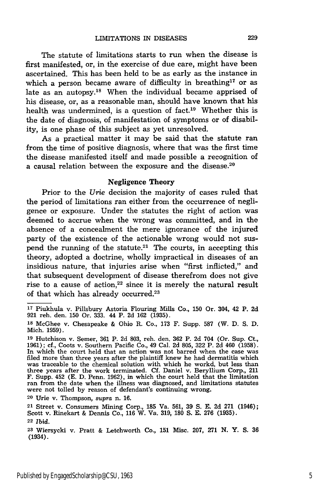The statute of limitations starts to run when the disease is first manifested, or, in the exercise of due care, might have been ascertained. This has been held to be as early as the instance in which a person became aware of difficulty in breathing<sup>17</sup> or as late as an autopsy.<sup>18</sup> When the individual became apprised of his disease, or, as a reasonable man, should have known that his health was undermined, is a question of fact.<sup>19</sup> Whether this is the date of diagnosis, of manifestation of symptoms or of disability, is one phase of this subject as yet unresolved.

As a practical matter it may be said that the statute ran from the time of positive diagnosis, where that was the first time the disease manifested itself and made possible a recognition of a causal relation between the exposure and the disease. $20$ 

#### Negligence **Theory**

Prior to the *Urie* decision the majority of cases ruled that the period of limitations ran either from the occurrence of negligence or exposure. Under the statutes the right of action was deemed to accrue when the wrong was committed, and in the absence of a concealment the mere ignorance of the injured party of the existence of the actionable wrong would not suspend the running of the statute.<sup>21</sup> The courts, in accepting this theory, adopted a doctrine, wholly impractical in diseases of an insidious nature, that injuries arise when "first inflicted," and that subsequent development of disease therefrom does not give rise to a cause of action, $22$  since it is merely the natural result of that which has already occurred.23

**<sup>20</sup>**Urie v. Thompson, *supra* n. 16.

**<sup>&#</sup>x27;T** Piukhula v. Pillsbury Astoria Flouring Mills Co., **150** Or. 304, 42 P. **2d** 921 reh. den. **150** Or. 333. 44 P. 2d **162** (1935).

**<sup>18</sup>** McGhee v. Chesapeake & Ohio R. Co., 173 F. Supp. **587** (W. D. S. D. Mich. 1959).

**<sup>19</sup>**Hutchison v. Semer, 361 P. 2d **803,** reh. den. **362** P. 2d 704 (Or. Sup. Ct., 1961); cf., Coots v. Southern Pacific Co., 49 Cal. **2d** 805, **322** P. 2d 460 (1958). In which the court held that an action was not barred when the case was filed more than three years after the plaintiff knew he had dermatitis which was traceable to the chemical solution with which he workd, but less than three years after the work terminated. **Cf.** Daniel v. Beryllium Corp., 211 F. Supp. 452 (E. D. Penn. 1962), in which the court held that the limitation ran from the date when the illness was diagnosed, and limitations statutes were not tolled by reason of defendant's continuing wrong.

**<sup>21</sup>**Street v. Consumers Mining Corp., 185 Va. 561, 39 **S.** E. 2d 271 (1946); Scott v. Rinekart & Dennis Co., 116 W. Va. 319, **180 S.** E. 276 (1935). **<sup>22</sup>***Ibid.*

**<sup>23</sup>**Wiersycki v. Pratt & Letchworth Co., **151** Misc. **207, 271 N.** Y. **S. 36** (1934).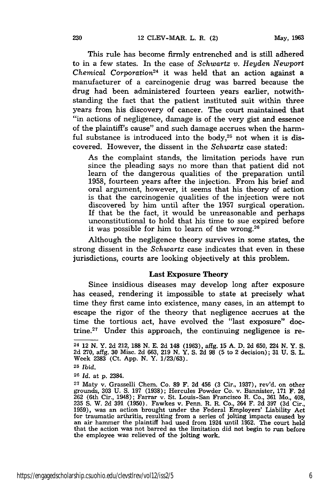This rule has become firmly entrenched and is still adhered to in a few states. In the case of *Schwartz v. Heyden Newport Chemical Corporation24* it was held that an action against a manufacturer of a carcinogenic drug was barred because the drug had been administered fourteen years earlier, notwithstanding the fact that the patient instituted suit within three years from his discovery of cancer. The court maintained that "in actions of negligence, damage is of the very gist and essence of the plaintiff's cause" and such damage accrues when the harmful substance is introduced into the body, $25$  not when it is discovered. However, the dissent in the *Schwartz* case stated:

As the complaint stands, the limitation periods have run since the pleading says no more than that patient did not learn of the dangerous qualities of the preparation until 1958, fourteen years after the injection. From his brief and oral argument, however, it seems that his theory of action is that the carcinogenic qualities of the injection were not discovered by him until after the 1957 surgical operation. If that be the fact, it would be unreasonable and perhaps unconstitutional to hold that his time to sue expired before it was possible for him to learn of the wrong. $26$ 

Although the negligence theory survives in some states, the strong dissent in the *Schwartz* case indicates that even in these jurisdictions, courts are looking objectively at this problem.

#### Last Exposure Theory

Since insidious diseases may develop long after exposure has ceased, rendering it impossible to state at precisely what time they first came into existence, many cases, in an attempt to escape the rigor of the theory that negligence accrues at the time the tortious act, have evolved the "last exposure" doctrine.<sup>27</sup> Under this approach, the continuing negligence is re-

**<sup>25</sup>***Ibid.*

**<sup>26</sup>***Id.* at **p.** 2384.

**<sup>24</sup>** 12 **N.** Y. **2d** 212, **188 N. E. 2d** 148 **(1963),** affg. **15 A. D. 2d 650,** 224 **N.** Y. **S. 2d 270,** affg. **30** Misc. **2d 663, 219 N.** Y. **S. 2d 98 (5** to 2 decision); **31 U. S.** L. Week **2383** (Ct. **App. N.** Y. **1/23/63).**

**<sup>27</sup>**Maty v. Grasselli Chem. Co. **89** F. **2d** 456 **(3** Cir., **1937),** rev'd. on other grounds, **303 U. S. 197 (1938);** Hercules Powder Co. v. Bannister, **171** F. **2d 262** (6th Cir., 1948); Farrar v. St. Louis-San Francisco R. Co., **361** Mo., 408, **235 S.** W. **2d 391 (1950).** Fawkes v. Penn. R. R. Co., 264 F. **2d 397 (3d** Cir., **1959),** was an action brought under the Federal Employers' Liability Act 1959), was an action brought under the Federal Employers' Liability Act for traumatic arthritis, resulting from a series of jolting impacts caused by an air hammer the plaintiff had used from 1924 until 1952. The court hel that the action was not barred as the limitation did not begin to run before the employee was relieved of the jolting work.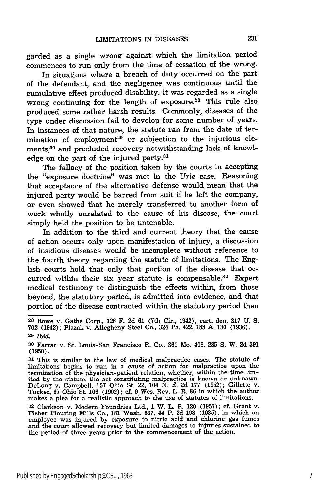garded as a single wrong against which the limitation period commences to run only from the time of cessation of the wrong.

In situations where a breach of duty occurred on the part of the defendant, and the negligence was continuous until the cumulative effect produced disability, it was regarded as a single wrong continuing for the length of exposure.<sup>28</sup> This rule also produced some rather harsh results. Commonly, diseases of the type under discussion fail to develop for some number of years. In instances of that nature, the statute ran from the date of termination of employment<sup>29</sup> or subjection to the injurious elements,<sup>30</sup> and precluded recovery notwithstanding lack of knowledge on the part of the injured party.<sup>31</sup>

The fallacy of the position taken by the courts in accepting the "exposure doctrine" was met in the *Urie* case. Reasoning that acceptance of the alternative defense would mean that the injured party would be barred from suit if he left the company, or even showed that he merely transferred to another form of work wholly unrelated to the cause of his disease, the court simply held the position to be untenable.

In addition to the third and current theory that the cause of action occurs only upon manifestation of injury, a discussion of insidious diseases would be incomplete without reference to the fourth theory regarding the statute of limitations. The English courts hold that only that portion of the disease that occurred within their six year statute is compensable.<sup>32</sup> Expert medical testimony to distinguish the effects within, from those beyond, the statutory period, is admitted into evidence, and that portion of the disease contracted within the statutory period then

**<sup>28</sup>**Rowe v. Gathe Corp., **126** F. **2d 61** (7th Cir., 1942), cert. den. **317 U. S. 702** (1942); Plazak v. Allegheny Steel Co., 324 Pa. 422, **188** A. 130 (1936).

**<sup>29</sup>***Ibid.*

**<sup>30</sup>**Farrar v. St. Louis-San Francisco R. Co., **361** Mo. 408, 235 **S.** W. 2d 391 **(1950).**

**<sup>31</sup>**This is similar to the law of medical malpractice cases. The statute of limitations begins to run in a cause of action for malpractice upon the termination of the physician-patient relation, whether, within the time lim-ited **by** the statute, the act constituting malpractice is known or unknown. DeLong v. Campbell, **157** Ohio St. 22, 104 **N. E. 2d 177 (1952);** Gillette v. Tucker, **67** Ohio St. **106 (1902);** cf. **9** Wes. Rev. L. R. **86** in which the author makes a plea for a realistic approach to the use of statutes of limitations.

**<sup>32</sup>** Clarkson v. Modern Foundries Ltd., 1 W. L. R. 120 **(1957);** cf. Grant v. Fisher Flouring Mills Co., **181** Wash. **567,** 44 P. **2d 193 (1935),** in which an employee was injured **by** exposure to nitric acid and chlorine gas fumes and the court allowed recovery but limited damages to injuries sustained to the period of three years prior to the commencement of the action.